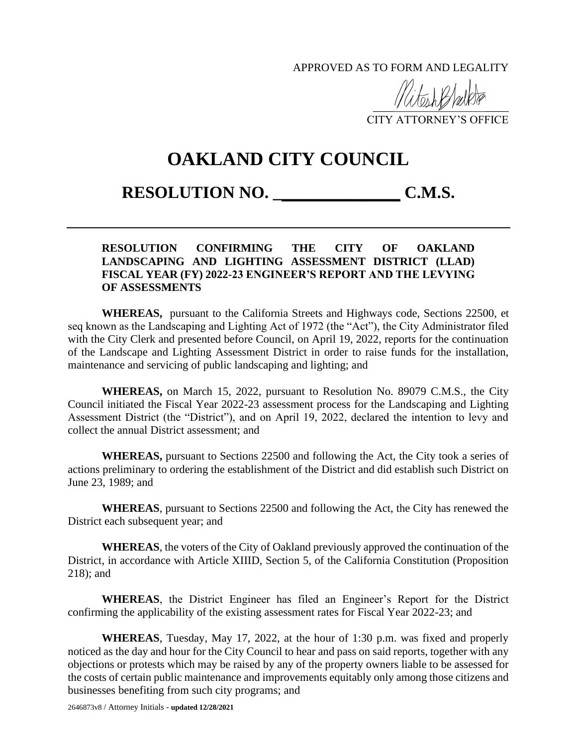APPROVED AS TO FORM AND LEGALITY

 $\frac{1}{\sqrt{2}}$ 

CITY ATTORNEY'S OFFICE

## **OAKLAND CITY COUNCIL**

## **RESOLUTION NO. \_\_\_\_\_\_\_\_\_\_\_\_\_\_\_ C.M.S.**

## **RESOLUTION CONFIRMING THE CITY OF OAKLAND LANDSCAPING AND LIGHTING ASSESSMENT DISTRICT (LLAD) FISCAL YEAR (FY) 2022-23 ENGINEER'S REPORT AND THE LEVYING OF ASSESSMENTS**

**WHEREAS,** pursuant to the California Streets and Highways code, Sections 22500, et seq known as the Landscaping and Lighting Act of 1972 (the "Act"), the City Administrator filed with the City Clerk and presented before Council, on April 19, 2022, reports for the continuation of the Landscape and Lighting Assessment District in order to raise funds for the installation, maintenance and servicing of public landscaping and lighting; and

**WHEREAS,** on March 15, 2022, pursuant to Resolution No. 89079 C.M.S., the City Council initiated the Fiscal Year 2022-23 assessment process for the Landscaping and Lighting Assessment District (the "District"), and on April 19, 2022, declared the intention to levy and collect the annual District assessment; and

**WHEREAS,** pursuant to Sections 22500 and following the Act, the City took a series of actions preliminary to ordering the establishment of the District and did establish such District on June 23, 1989; and

**WHEREAS**, pursuant to Sections 22500 and following the Act, the City has renewed the District each subsequent year; and

**WHEREAS**, the voters of the City of Oakland previously approved the continuation of the District, in accordance with Article XIIID, Section 5, of the California Constitution (Proposition 218); and

**WHEREAS**, the District Engineer has filed an Engineer's Report for the District confirming the applicability of the existing assessment rates for Fiscal Year 2022-23; and

**WHEREAS**, Tuesday, May 17, 2022, at the hour of 1:30 p.m. was fixed and properly noticed as the day and hour for the City Council to hear and pass on said reports, together with any objections or protests which may be raised by any of the property owners liable to be assessed for the costs of certain public maintenance and improvements equitably only among those citizens and businesses benefiting from such city programs; and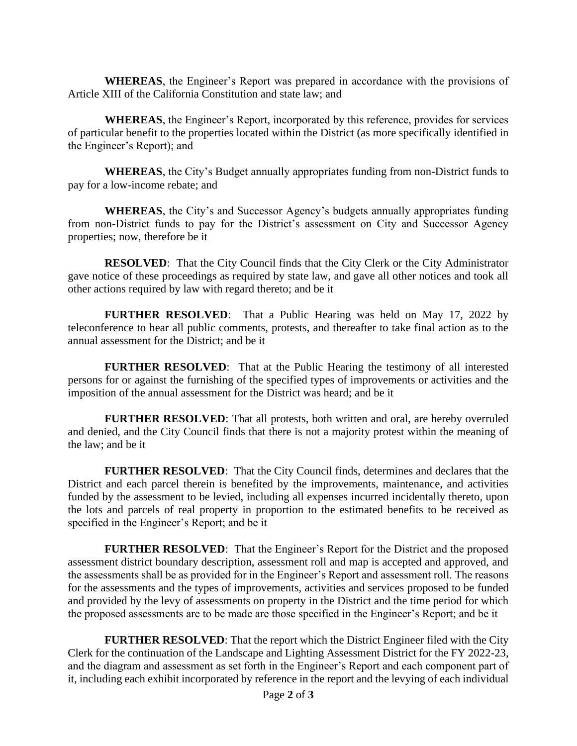**WHEREAS**, the Engineer's Report was prepared in accordance with the provisions of Article XIII of the California Constitution and state law; and

**WHEREAS**, the Engineer's Report, incorporated by this reference, provides for services of particular benefit to the properties located within the District (as more specifically identified in the Engineer's Report); and

**WHEREAS**, the City's Budget annually appropriates funding from non-District funds to pay for a low-income rebate; and

**WHEREAS**, the City's and Successor Agency's budgets annually appropriates funding from non-District funds to pay for the District's assessment on City and Successor Agency properties; now, therefore be it

**RESOLVED**: That the City Council finds that the City Clerk or the City Administrator gave notice of these proceedings as required by state law, and gave all other notices and took all other actions required by law with regard thereto; and be it

**FURTHER RESOLVED**: That a Public Hearing was held on May 17, 2022 by teleconference to hear all public comments, protests, and thereafter to take final action as to the annual assessment for the District; and be it

**FURTHER RESOLVED**: That at the Public Hearing the testimony of all interested persons for or against the furnishing of the specified types of improvements or activities and the imposition of the annual assessment for the District was heard; and be it

**FURTHER RESOLVED**: That all protests, both written and oral, are hereby overruled and denied, and the City Council finds that there is not a majority protest within the meaning of the law; and be it

**FURTHER RESOLVED**: That the City Council finds, determines and declares that the District and each parcel therein is benefited by the improvements, maintenance, and activities funded by the assessment to be levied, including all expenses incurred incidentally thereto, upon the lots and parcels of real property in proportion to the estimated benefits to be received as specified in the Engineer's Report; and be it

**FURTHER RESOLVED**: That the Engineer's Report for the District and the proposed assessment district boundary description, assessment roll and map is accepted and approved, and the assessments shall be as provided for in the Engineer's Report and assessment roll. The reasons for the assessments and the types of improvements, activities and services proposed to be funded and provided by the levy of assessments on property in the District and the time period for which the proposed assessments are to be made are those specified in the Engineer's Report; and be it

**FURTHER RESOLVED**: That the report which the District Engineer filed with the City Clerk for the continuation of the Landscape and Lighting Assessment District for the FY 2022-23, and the diagram and assessment as set forth in the Engineer's Report and each component part of it, including each exhibit incorporated by reference in the report and the levying of each individual